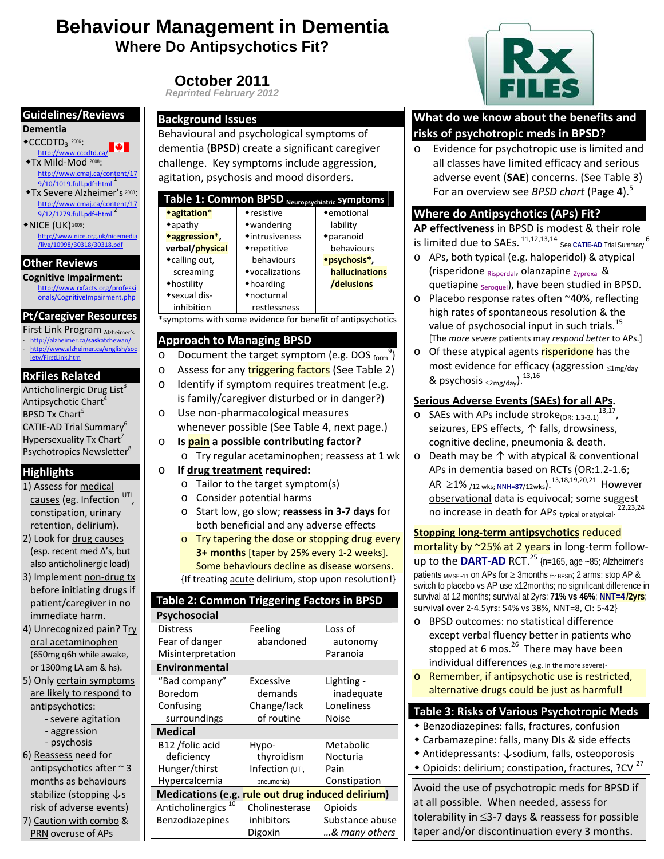# **Behaviour Management in Dementia Where Do Antipsychotics Fit?**

**October 2011** 

#### **Guidelines/Reviews**

#### **Dementia**

- $\bullet$ CCCDTD<sub>3</sub> 2006: <sup>2006</sup>: http://www.cccdtd.ca/
- Tx Mild‐Mod <sup>2008</sup>: http://www.cmaj.ca/content/17 9/10/1019.full.pdf+html <sup>1</sup>
- **\*Tx Severe Alzheimer's 2008:** http://www.cmaj.ca/content/17 9/12/1279.full.pdf+html <sup>2</sup>
- ◆NICE (UK) 2006: http://www.nice.org.uk/nicemedia<br>/live/10998/30318/30318.pdf

#### **Other Reviews**

**Cognitive Impairment:** http://www.rxfacts.org/professi onals/CognitiveImpairment.php

# **Pt/Caregiver Resources**

First Link Program Alzheimer's - http://alzheimer.ca/**sask**atchewan/ http://www.alzheimer.ca/english/soc iety/FirstLink.htm

#### **RxFiles Related**

Anticholinergic Drug List $3$ Antipsychotic Chart<sup>4</sup> BPSD Tx Chart<sup>5</sup> CATIE‐AD Trial Summary6 Hypersexuality Tx Chart<sup>7</sup> Psychotropics Newsletter<sup>8</sup>

#### **Highlights**

- 1) Assess for medical causes (eg. Infection UTI constipation, urinary retention, delirium).
- 2) Look for drug causes (esp. recent med Δ's, but also anticholinergic load)
- 3) Implement non‐drug tx before initiating drugs if patient/caregiver in no immediate harm.
- 4) Unrecognized pain? Try oral acetaminophen (650mg q6h while awake, or 1300mg LA am & hs).
- 5) Only certain symptoms are likely to respond to antipsychotics:
	- ‐ severe agitation
	- ‐ aggression
	- ‐ psychosis
- 6) Reassess need for antipsychotics after ~ 3 months as behaviours stabilize (stopping ↓s risk of adverse events) 7) Caution with combo &

PRN overuse of APs

# *Reprinted February 2012*

#### **Background Issues**

Behavioural and psychological symptoms of dementia (**BPSD**) create a significant caregiver challenge. Key symptoms include aggression, agitation, psychosis and mood disorders.

| Table 1: Common BPSD<br>Neuropsychiatric Symptoms |                           |                |  |
|---------------------------------------------------|---------------------------|----------------|--|
| *agitation*                                       | •resistive                | • emotional    |  |
| $*$ apathy                                        | •wandering                | lability       |  |
| *aggression*,                                     | $\triangle$ intrusiveness | *paranoid      |  |
| verbal/physical                                   | •repetitive               | behaviours     |  |
| ◆calling out,                                     | behaviours                | *psychosis*,   |  |
| screaming                                         | •vocalizations            | hallucinations |  |
| •hostility                                        | $\triangle$ hoarding      | /delusions     |  |
| • sexual dis-                                     | •nocturnal                |                |  |
| inhibition                                        | restlessness              |                |  |

\*symptoms with some evidence for benefit of antipsychotics

### **Approach to Managing BPSD**

- o Document the target symptom (e.g. DOS form<sup>9</sup>)
- o Assess for any triggering factors (See Table 2)
- o Identify if symptom requires treatment (e.g.
- is family/caregiver disturbed or in danger?) o Use non‐pharmacological measures
- whenever possible (See Table 4, next page.) o **Is pain a possible contributing factor?**
- - o Try regular acetaminophen; reassess at 1 wk
- o **If drug treatment required:**
	- o Tailor to the target symptom(s)
	- o Consider potential harms
	- o Start low, go slow; **reassess in 3‐7 days** for both beneficial and any adverse effects
	- o Try tapering the dose or stopping drug every **3+ months** [taper by 25% every 1‐2 weeks]. Some behaviours decline as disease worsens. {If treating acute delirium, stop upon resolution!}

| Table 2: Common Triggering Factors in BPSD        |                   |                 |  |
|---------------------------------------------------|-------------------|-----------------|--|
| Psychosocial                                      |                   |                 |  |
| <b>Distress</b>                                   | Feeling           | Loss of         |  |
| Fear of danger                                    | abandoned         | autonomy        |  |
| Misinterpretation                                 |                   | Paranoia        |  |
| Environmental                                     |                   |                 |  |
| "Bad company"                                     | Excessive         | Lighting -      |  |
| Boredom                                           | demands           | inadequate      |  |
| Confusing                                         | Change/lack       | Loneliness      |  |
| surroundings                                      | of routine        | Noise           |  |
| <b>Medical</b>                                    |                   |                 |  |
| B <sub>12</sub> /folic acid                       | Hypo-             | Metabolic       |  |
| deficiency                                        | thyroidism        | Nocturia        |  |
| Hunger/thirst                                     | Infection (UTI,   | Pain            |  |
| Hypercalcemia                                     | pneumonia)        | Constipation    |  |
| Medications (e.g. rule out drug induced delirium) |                   |                 |  |
| Anticholinergics                                  | Cholinesterase    | Opioids         |  |
| Benzodiazepines                                   | <i>inhibitors</i> | Substance abuse |  |
|                                                   | Digoxin           | & many others   |  |

# **What do we know about the benefits and risks of psychotropic meds in BPSD?**

o Evidence for psychotropic use is limited and all classes have limited efficacy and serious adverse event (**SAE**) concerns. (See Table 3) For an overview see *BPSD chart* (Page 4).5

# **Where do Antipsychotics (APs) Fit?**

**AP effectiveness** in BPSD is modest & their role is limited due to SAEs. <sup>11,12,13,14</sup> See CATIE-AD Trial Summary.<sup>6</sup>

- o APs, both typical (e.g. haloperidol) & atypical (risperidone  $R_{\text{Risperdal}}$ , olanzapine  $_{\text{Zvorexa}}$  & quetiapine <sub>Seroquel</sub>), have been studied in BPSD.
- o Placebo response rates often ~40%, reflecting high rates of spontaneous resolution & the value of psychosocial input in such trials.<sup>15</sup> [The *more severe* patients may *respond better* to APs.]
- o Of these atypical agents risperidone has the most evidence for efficacy (aggression <sup>≤</sup>1mg/day & psychosis  $\leq 2 \text{mq/day}$ ).  $^{13,16}$

## **Serious Adverse Events (SAEs) for all APs.**

- o SAEs with APs include stroke(OR: 1.3‐3.1) 13,17, seizures, EPS effects, ↑ falls, drowsiness, cognitive decline, pneumonia & death.
- o Death may be ↑ with atypical & conventional APs in dementia based on RCTs (OR:1.2-1.6; AR ≥1% /12 wks; NNH=87/12wks).<sup>13,18,19,20,21</sup> However observational data is equivocal; some suggest no increase in death for APS typical or atypical. 22,23,24

#### **Stopping long‐term antipsychotics** reduced

mortality by ~25% at 2 years in long-term followup to the **DART‐AD** RCT.25 {n=165, age ~85; Alzheimer's patients  $_{MMSE-11}$  on APs for  $\geq$  3months for BPSD; 2 arms: stop AP & switch to placebo vs AP use x12months; no significant difference in survival at 12 months; survival at 2yrs: **71% vs 46%**; **NNT=4 /2yrs**; survival over 2‐4.5yrs: 54% vs 38%, NNT=8, CI: 5‐42}

- o BPSD outcomes: no statistical difference except verbal fluency better in patients who stopped at 6 mos.<sup>26</sup> There may have been individual differences  $(e.a.$  in the more severe).
- o Remember, if antipsychotic use is restricted, alternative drugs could be just as harmful!

## **Table 3: Risks of Various Psychotropic Meds**

- Benzodiazepines: falls, fractures, confusion
- Carbamazepine: falls, many DIs & side effects
- Antidepressants: ↓sodium, falls, osteoporosis
- $\bullet$  Opioids: delirium; constipation, fractures, ?CV  $^{27}$

Avoid the use of psychotropic meds for BPSD if at all possible. When needed, assess for tolerability in ≤3‐7 days & reassess for possible taper and/or discontinuation every 3 months.